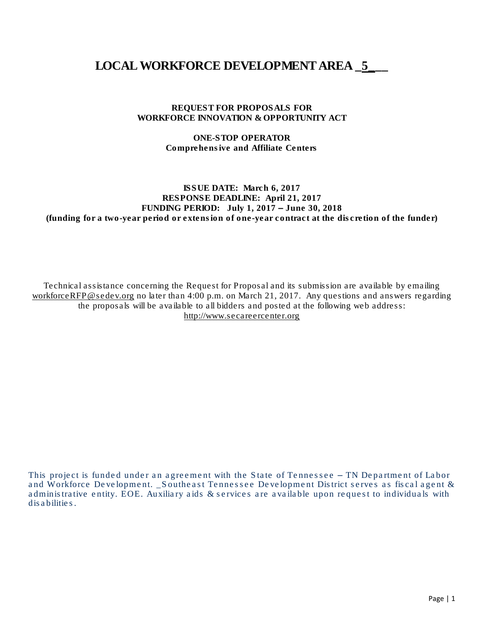# LOCAL WORKFORCE DEVELOPMENT AREA  $\,$  5

#### REQUEST FOR PROPOSALS FOR WORKFORCE INNOVATION & OPPORTUNITY ACT

#### ONE-STOP OPERATOR Comprehensive and Affiliate Centers

#### ISSUE DATE: March 6, 2017 RESPONSE DEADLINE: April 21, 2017 FUNDING PERIOD: July 1, 2017 – June 30, 2018 (funding for a two-year period or extension of one-year contract at the discretion of the funder)

Technical assistance concerning the Request for Proposal and its submission are available by emailing [workforceRFP@sedev.org](mailto:workforceRFP@sedev.org) no later than 4:00 p.m. on March 21, 2017. Any questions and answers regarding the proposals will be available to all bidders and posted at the following web address: [http://www.secareercenter.org](http://www.secareercenter.org/)

This project is funded under an agreement with the State of Tennessee – TN Department of Labor and Workforce Development. \_Southeast Tennessee Development District serves as fiscal agent & administrative entity. EOE. Auxiliary aids & services are available upon request to individuals with disabilities.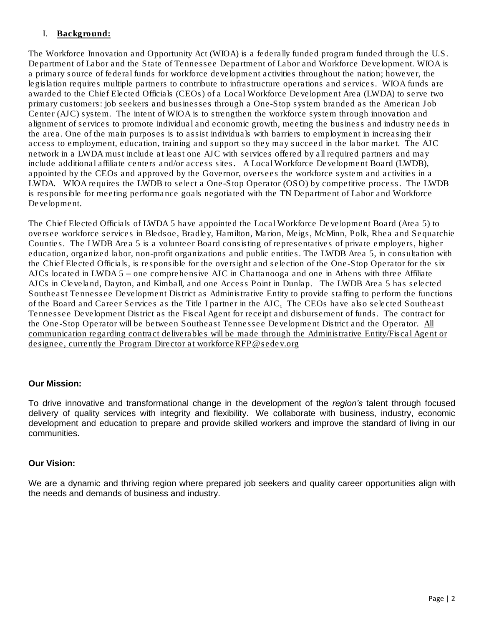# I. Background:

The Workforce Innovation and Opportunity Act (WIOA) is a federally funded program funded through the U.S. Department of Labor and the State of Tennessee Department of Labor and Workforce Development. WIOA is a primary source of federal funds for workforce development activities throughout the nation; however, the legislation requires multiple partners to contribute to infrastructure operations and services. WIOA funds are awarded to the Chief Elected Officials (CEOs) of a Local Workforce Development Area (LWDA) to serve two primary customers: job seekers and businesses through a One-Stop system branded as the American Job Center (AJC) system. The intent of WIOA is to strengthen the workforce system through innovation and alignment of services to promote individual and economic growth, meeting the business and industry needs in the area. One of the main purposes is to assist individuals with barriers to employment in increasing their access to employment, education, training and support so they may succeed in the labor market. The AJC network in a LWDA must include at least one AJC with services offered by all required partners and may include additional affiliate centers and/or access sites. A Local Workforce Development Board (LWDB), appointed by the CEOs and approved by the Governor, oversees the workforce system and activities in a LWDA. WIOA requires the LWDB to select a One-Stop Operator (OSO) by competitive process. The LWDB is responsible for meeting performance goals negotiated with the TN Department of Labor and Workforce Development.

The Chief Elected Officials of LWDA 5 have appointed the Local Workforce Development Board (Area 5) to oversee workforce services in Bledsoe, Bradley, Hamilton, Marion, Meigs, McMinn, Polk, Rhea and Sequatchie Counties. The LWDB Area 5 is a volunteer Board consisting of representatives of private employers, higher education, organized labor, non-profit organizations and public entities. The LWDB Area 5, in consultation with the Chief Elected Officials, is responsible for the oversight and selection of the One-Stop Operator for the six AJCs located in LWDA 5 – one comprehensive AJC in Chattanooga and one in Athens with three Affiliate AJCs in Cleveland, Dayton, and Kimball, and one Access Point in Dunlap. The LWDB Area 5 has selected Southeast Tennessee Development District as Administrative Entity to provide staffing to perform the functions of the Board and Career Services as the Title I partner in the AJC. The CEOs have also selected Southeast Tennessee Development District as the Fiscal Agent for receipt and disbursement of funds. The contract for the One-Stop Operator will be between Southeast Tennessee Development District and the Operator. All communication regarding contract deliverables will be made through the Administrative Entity/Fiscal Agent or designee, currently the Program Director at workforceRFP@sedev.org

# *Our Mission:*

*To drive innovative and transformational change in the development of the region's talent through focused delivery of quality services with integrity and flexibility. We collaborate with business, industry, economic* development and education to prepare and provide skilled workers and improve the standard of living in our *communities.*

# *Our Vision:*

We are a dynamic and thriving region where prepared job seekers and quality career opportunities align with *the needs and demands of business and industry.*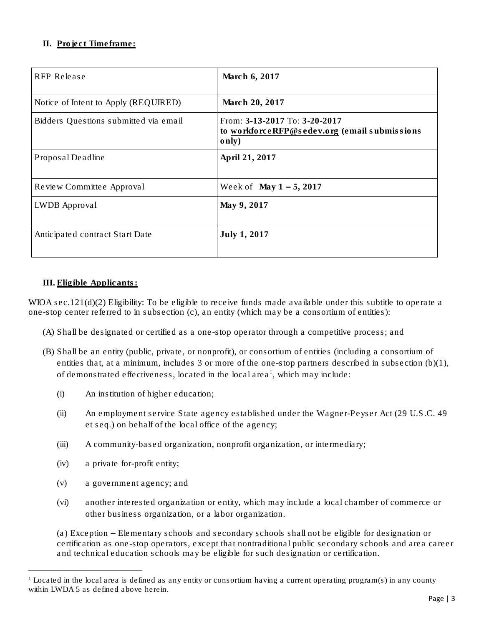# **II.** Project Timeframe:

| RFP Release                           | March 6, 2017                                                                           |
|---------------------------------------|-----------------------------------------------------------------------------------------|
| Notice of Intent to Apply (REQUIRED)  | March 20, 2017                                                                          |
| Bidders Questions submitted via email | From: 3-13-2017 To: 3-20-2017<br>to workforceRFP@sedev.org (email submissions)<br>only) |
| Proposal Deadline                     | April 21, 2017                                                                          |
| Review Committee Approval             | Week of May $1 - 5$ , 2017                                                              |
| LWDB Approval                         | May 9, 2017                                                                             |
| Anticipated contract Start Date       | July 1, 2017                                                                            |

#### **III.** Eligible Applicants:

WIOA sec.121(d)(2) Eligibility: To be eligible to receive funds made available under this subtitle to operate a one-stop center referred to in subsection (c), an entity (which may be a consortium of entities):

- (A) Shall be designated or certified as a one-stop operator through a competitive process; and
- (B) Shall be an entity (public, private, or nonprofit), or consortium of entities (including a consortium of entities that, at a minimum, includes 3 or more of the one-stop partners described in subsection (b)(1), of demonstrated effectiveness, located in the local area<sup>1</sup>, which may include:
	- (i) An institution of higher education;
	- (ii) An employment service State agency established under the Wagner-Peyser Act (29 U.S.C. 49 et seq.) on behalf of the local office of the agency;
	- (iii) A community-based organization, nonprofit organization, or intermediary;
	- (iv) a private for-profit entity;

 $\overline{a}$ 

- (v) a government agency; and
- (vi) another interested organization or entity, which may include a local chamber of commerce or other business organization, or a labor organization.

(a) Exception – Elementary schools and secondary schools shall not be eligible for designation or certification as one-stop operators, except that nontraditional public secondary schools and area career and technical education schools may be eligible for such designation or certification.

<sup>&</sup>lt;sup>1</sup> Located in the local area is defined as any entity or consortium having a current operating program(s) in any county within LWDA 5 as defined above herein.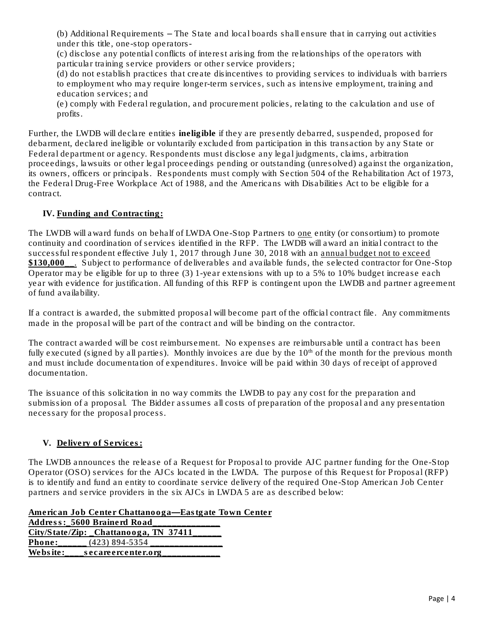(b) Additional Requirements – The State and local boards shall ensure that in carrying out activities under this title, one-stop operators-

(c) disclose any potential conflicts of interest arising from the relationships of the operators with particular training service providers or other service providers;

(d) do not establish practices that create disincentives to providing services to individuals with barriers to employment who may require longer-term services, such as intensive employment, training and education services; and

(e) comply with Federal regulation, and procurement policies, relating to the calculation and use of profits.

Further, the LWDB will declare entities ineligible if they are presently debarred, suspended, proposed for debarment, declared ineligible or voluntarily excluded from participation in this transaction by any State or Federal department or agency. Respondents must disclose any legal judgments, claims, arbitration proceedings, lawsuits or other legal proceedings pending or outstanding (unresolved) against the organization, its owners, officers or principals. Respondents must comply with Section 504 of the Rehabilitation Act of 1973, the Federal Drug-Free Workplace Act of 1988, and the Americans with Disabilities Act to be eligible for a contract.

# **IV.** Funding and Contracting:

The LWDB will award funds on behalf of LWDA One-Stop Partners to one entity (or consortium) to promote continuity and coordination of services identified in the RFP. The LWDB will award an initial contract to the successful respondent effective July 1, 2017 through June 30, 2018 with an annual budget not to exceed \$130,000\_\_. Subject to performance of deliverables and available funds, the selected contractor for One-Stop Operator may be eligible for up to three (3) 1-year extensions with up to a 5% to 10% budget increase each year with evidence for justification. All funding of this RFP is contingent upon the LWDB and partner agreement of fund availability.

If a contract is awarded, the submitted proposal will become part of the official contract file. Any commitments made in the proposal will be part of the contract and will be binding on the contractor.

The contract awarded will be cost reimbursement. No expenses are reimbursable until a contract has been fully executed (signed by all parties). Monthly invoices are due by the  $10<sup>th</sup>$  of the month for the previous month and must include documentation of expenditures. Invoice will be paid within 30 days of receipt of approved documentation.

The issuance of this solicitation in no way commits the LWDB to pay any cost for the preparation and submission of a proposal. The Bidder assumes all costs of preparation of the proposal and any presentation necessary for the proposal process.

# **V.** Delivery of Services:

The LWDB announces the release of a Request for Proposal to provide AJC partner funding for the One-Stop Operator (OSO) services for the AJCs located in the LWDA. The purpose of this Request for Proposal (RFP) is to identify and fund an entity to coordinate service delivery of the required One-Stop American Job Center partners and service providers in the six AJCs in LWDA 5 are as described below:

American Job Center Chattanooga—Eastgate Town Center

|          | Address: 5600 Brainerd Road                    |
|----------|------------------------------------------------|
|          | $City/S$ tate/ $Zip:$ $Chattanooga$ , TN 37411 |
| Phone:   | $(423)$ 894-5354                               |
| Website: | secareercenter.org                             |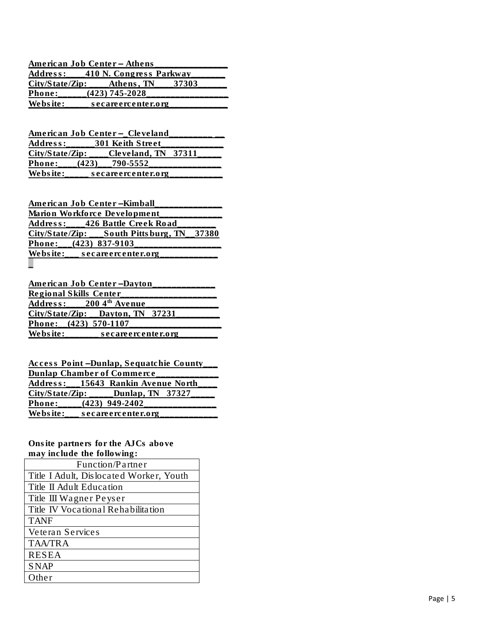|          | American Job Center – Athens          |  |
|----------|---------------------------------------|--|
|          | Address: 410 N. Congress Parkway      |  |
|          | $City/State/Zip:$ Athens, TN<br>37303 |  |
| Phone:   | (423) 745-2028                        |  |
| Website: | secareercenter.org                    |  |

American Job Center - Cleveland Address:\_\_\_\_\_\_301 Keith Street\_\_\_\_\_\_\_\_\_\_\_\_\_ City/State/Zip: \_\_\_\_Cleveland, TN 37311 Phone: (423)<br>Website: sec 790 -5552\_\_\_\_\_\_\_\_\_\_\_\_\_\_\_ secareercenter.org  $\overline{\phantom{a}}$ 

| American Job Center – Kimball |  |                                              |  |
|-------------------------------|--|----------------------------------------------|--|
|                               |  | Marion Workforce Development                 |  |
|                               |  | Address: 426 Battle Creek Road               |  |
|                               |  | $City/State/Zip$ : South Pittsburg, TN 37380 |  |
| Phone: (423) 837-9103         |  |                                              |  |
|                               |  | Website: $\frac{\ }{}$ secare ercenter.org   |  |
|                               |  |                                              |  |

| American Job Center-Dayton           |                                        |  |
|--------------------------------------|----------------------------------------|--|
| Regional Skills Center               |                                        |  |
| Address: $2004$ <sup>th</sup> Avenue |                                        |  |
|                                      | $City/State/Zip: \_\_Dayton, TN$ 37231 |  |
| Phone: $(423)$ 570-1107              |                                        |  |
| Website:                             | secareercenter.org                     |  |

| Access Point-Dunlap, Sequatchie County |                                         |  |  |
|----------------------------------------|-----------------------------------------|--|--|
| Dunlap Chamber of Commerce             |                                         |  |  |
|                                        | Address: 15643 Rankin Avenue North      |  |  |
|                                        | $City/State/Zip:$ _____Dunlap, TN 37327 |  |  |
|                                        | Phone: (423) 949-2402                   |  |  |
| Website:                               | secareercenter.org                      |  |  |

Onsite partners for the AJCs above may include the following :

| Function/Partner                        |  |  |
|-----------------------------------------|--|--|
| Title I Adult, Dislocated Worker, Youth |  |  |
| Title II Adult Education                |  |  |
| Title III Wagner Peyser                 |  |  |
| Title IV Vocational Rehabilitation      |  |  |
| <b>TANF</b>                             |  |  |
| Veteran Services                        |  |  |
| <b>TAA/TRA</b>                          |  |  |
| <b>RESEA</b>                            |  |  |
| <b>SNAP</b>                             |  |  |
| Other                                   |  |  |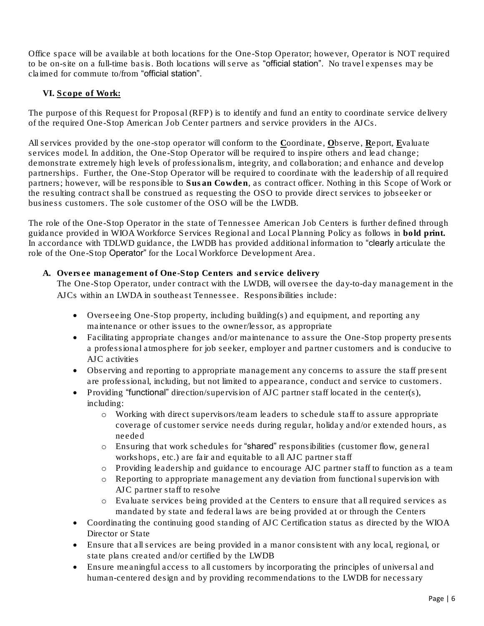Office space will be available at both locations for the One-Stop Operator; however, Operator is NOT required to be on-site on a full-time basis. Both locations will serve as "official station". No travel expenses may be claimed for commute to/from "official station".

# **VI.** Scope of Work:

The purpose of this Request for Proposal (RFP) is to identify and fund an entity to coordinate service delivery of the required One-Stop American Job Center partners and service providers in the AJCs.

All services provided by the one-stop operator will conform to the Coordinate, Observe, Report, Evaluate services model. In addition, the One-Stop Operator will be required to inspire others and lead change; demonstrate extremely high levels of professionalism, integrity, and collaboration; and enhance and develop partnerships. Further, the One-Stop Operator will be required to coordinate with the leadership of all required partners; however, will be responsible to Susan Cowden, as contract officer. Nothing in this Scope of Work or the resulting contract shall be construed as requesting the OSO to provide direct services to jobseeker or business customers. The sole customer of the OSO will be the LWDB.

The role of the One-Stop Operator in the state of Tennessee American Job Centers is further defined through guidance provided in WIOA Workforce Services Regional and Local Planning Policy as follows in bold print. In accordance with TDLWD guidance, the LWDB has provided additional information to "clearly articulate the role of the One-Stop Operator" for the Local Workforce Development Area.

A. Oversee management of One-Stop Centers and service delivery

The One-Stop Operator, under contract with the LWDB, will oversee the day-to-day management in the AJCs within an LWDA in southeast Tennessee. Responsibilities include:

- Overseeing One-Stop property, including building(s) and equipment, and reporting any maintenance or other issues to the owner/lessor, as appropriate
- Facilitating appropriate changes and/or maintenance to assure the One-Stop property presents a professional atmosphere for job seeker, employer and partner customers and is conducive to AJC activities
- Observing and reporting to appropriate management any concerns to assure the staff present are professional, including, but not limited to appearance, conduct and service to customers.
- Providing "functional" direction/supervision of AJC partner staff located in the center(s), including:
	- o Working with direct supervisors/team leaders to schedule staff to assure appropriate coverage of customer service needs during regular, holiday and/or extended hours, as needed
	- o Ensuring that work schedules for "shared" responsibilities (customer flow, general workshops, etc.) are fair and equitable to all AJC partner staff
	- o Providing leadership and guidance to encourage AJC partner staff to function as a team
	- o Reporting to appropriate management any deviation from functional supervision with AJC partner staff to resolve
	- o Evaluate services being provided at the Centers to ensure that all required services as mandated by state and federal laws are being provided at or through the Centers
- Coordinating the continuing good standing of AJC Certification status as directed by the WIOA Director or State
- Ensure that all services are being provided in a manor consistent with any local, regional, or state plans created and/or certified by the LWDB
- Ensure meaningful access to all customers by incorporating the principles of universal and human-centered design and by providing recommendations to the LWDB for necessary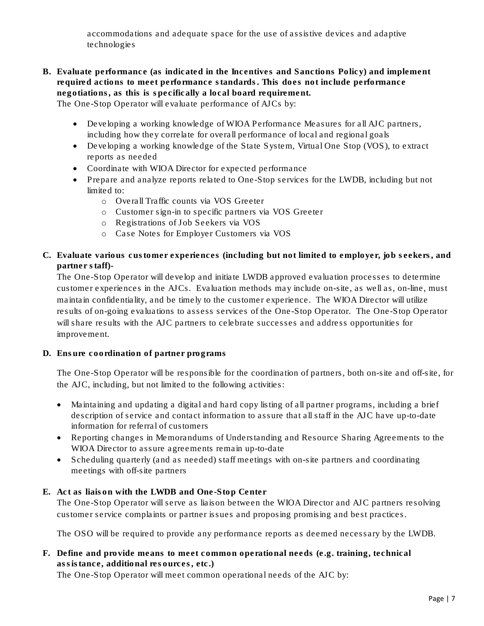accommodations and adequate space for the use of assistive devices and adaptive technologies

- B. Evaluate performance (as indicated in the Incentives and Sanctions Policy) and implement required actions to meet performance standards. This does not include performance negotiations, as this is specifically a local board requirement. The One-Stop Operator will evaluate performance of AJCs by:
	- Developing a working knowledge of WIOA Performance Measures for all AJC partners, including how they correlate for overall performance of local and regional goals
	- Developing a working knowledge of the State System, Virtual One Stop (VOS), to extract reports as needed
	- Coordinate with WIOA Director for expected performance
	- Prepare and analyze reports related to One-Stop services for the LWDB, including but not limited to:
		- o Overall Traffic counts via VOS Greeter
		- o Customer sign-in to specific partners via VOS Greeter
		- o Registrations of Job Seekers via VOS
		- o Case Notes for Employer Customers via VOS
- C. Evaluate various customer experiences (including but not limited to employer, job seekers, and partner staff)-

The One-Stop Operator will develop and initiate LWDB approved evaluation processes to determine customer experiences in the AJCs. Evaluation methods may include on-site, as well as, on-line, must maintain confidentiality, and be timely to the customer experience. The WIOA Director will utilize results of on-going evaluations to assess services of the One-Stop Operator. The One-Stop Operator will share results with the AJC partners to celebrate successes and address opportunities for improvement.

D. Ensure coordination of partner programs

The One-Stop Operator will be responsible for the coordination of partners, both on-site and off-site, for the AJC, including, but not limited to the following activities:

- Maintaining and updating a digital and hard copy listing of all partner programs, including a brief description of service and contact information to assure that all staff in the AJC have up-to-date information for referral of customers
- Reporting changes in Memorandums of Understanding and Resource Sharing Agreements to the WIOA Director to assure agreements remain up-to-date
- Scheduling quarterly (and as needed) staff meetings with on-site partners and coordinating meetings with off-site partners
- E. Act as liaison with the LWDB and One-Stop Center The One-Stop Operator will serve as liaison between the WIOA Director and AJC partners resolving customer service complaints or partner issues and proposing promising and best practices.

The OSO will be required to provide any performance reports as deemed necessary by the LWDB.

F. Define and provide means to meet common operational needs (e.g. training, technical assistance, additional resources, etc.) The One-Stop Operator will meet common operational needs of the AJC by: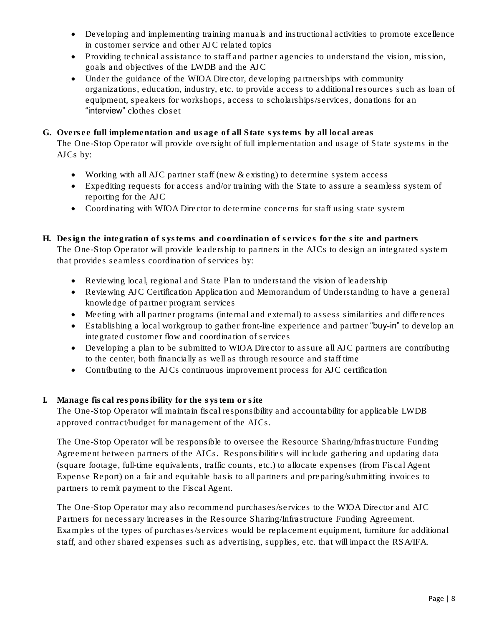- Developing and implementing training manuals and instructional activities to promote excellence in customer service and other AJC related topics
- Providing technical assistance to staff and partner agencies to understand the vision, mission, goals and objectives of the LWDB and the AJC
- Under the guidance of the WIOA Director, developing partnerships with community organizations, education, industry, etc. to provide access to additional resources such as loan of equipment, speakers for workshops, access to scholarships/services, donations for an "interview" clothes closet
- G. Oversee full implementation and usage of all State systems by all local areas The One-Stop Operator will provide oversight of full implementation and usage of State systems in the AJCs by:
	- Working with all AJC partner staff (new & existing) to determine system access
	- Expediting requests for access and/or training with the State to assure a seamless system of reporting for the AJC
	- Coordinating with WIOA Director to determine concerns for staff using state system
- H. Design the integration of systems and coordination of services for the site and partners The One-Stop Operator will provide leadership to partners in the AJCs to design an integrated system that provides seamless coordination of services by:
	- Reviewing local, regional and State Plan to understand the vision of leadership
	- Reviewing AJC Certification Application and Memorandum of Understanding to have a general knowledge of partner program services
	- Meeting with all partner programs (internal and external) to assess similarities and differences
	- Establishing a local workgroup to gather front-line experience and partner "buy-in" to develop an integrated customer flow and coordination of services
	- Developing a plan to be submitted to WIOA Director to assure all AJC partners are contributing to the center, both financially as well as through resource and staff time
	- Contributing to the AJCs continuous improvement process for AJC certification
- I. Manage fiscal responsibility for the system or site The One-Stop Operator will maintain fiscal responsibility and accountability for applicable LWDB approved contract/budget for management of the AJCs.

The One-Stop Operator will be responsible to oversee the Resource Sharing/Infrastructure Funding Agreement between partners of the AJCs. Responsibilities will include gathering and updating data (square footage, full-time equivalents, traffic counts, etc.) to allocate expenses (from Fiscal Agent Expense Report) on a fair and equitable basis to all partners and preparing/submitting invoices to partners to remit payment to the Fiscal Agent.

The One-Stop Operator may also recommend purchases/services to the WIOA Director and AJC Partners for necessary increases in the Resource Sharing/Infrastructure Funding Agreement. Examples of the types of purchases/services would be replacement equipment, furniture for additional staff, and other shared expenses such as advertising, supplies, etc. that will impact the RSA/IFA.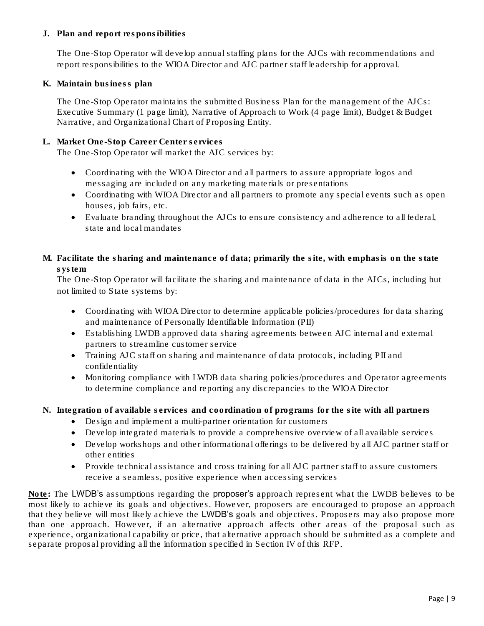# J. Plan and report responsibilities

The One-Stop Operator will develop annual staffing plans for the AJCs with recommendations and report responsibilities to the WIOA Director and AJC partner staff leadership for approval.

K. Maintain business plan

The One-Stop Operator maintains the submitted Business Plan for the management of the AJCs: Executive Summary (1 page limit), Narrative of Approach to Work (4 page limit), Budget & Budget Narrative, and Organizational Chart of Proposing Entity.

L. Market One-Stop Career Center services

The One-Stop Operator will market the AJC services by:

- Coordinating with the WIOA Director and all partners to assure appropriate logos and messaging are included on any marketing materials or presentations
- Coordinating with WIOA Director and all partners to promote any special events such as open houses, job fairs, etc.
- Evaluate branding throughout the AJCs to ensure consistency and adherence to all federal, state and local mandates
- M. Facilitate the sharing and maintenance of data; primarily the site, with emphasis on the state system

The One-Stop Operator will facilitate the sharing and maintenance of data in the AJCs, including but not limited to State systems by:

- Coordinating with WIOA Director to determine applicable policies/procedures for data sharing and maintenance of Personally Identifiable Information (PII)
- Establishing LWDB approved data sharing agreements between AJC internal and external partners to streamline customer service
- Training AJC staff on sharing and maintenance of data protocols, including PII and confidentiality
- Monitoring compliance with LWDB data sharing policies/procedures and Operator agreements to determine compliance and reporting any discrepancies to the WIOA Director
- N. Integration of available services and coordination of programs for the site with all partners
	- Design and implement a multi-partner orientation for customers
	- Develop integrated materials to provide a comprehensive overview of all available services
	- Develop workshops and other informational offerings to be delivered by all AJC partner staff or other entities
	- Provide technical assistance and cross training for all AJC partner staff to assure customers receive a seamless, positive experience when accessing services

Note: The LWDB's assumptions regarding the proposer's approach represent what the LWDB believes to be most likely to achieve its goals and objectives. However, proposers are encouraged to propose an approach that they believe will most likely achieve the LWDB's goals and objectives. Proposers may also propose more than one approach. However, if an alternative approach affects other areas of the proposal such as experience, organizational capability or price, that alternative approach should be submitted as a complete and separate proposal providing all the information specified in Section IV of this RFP.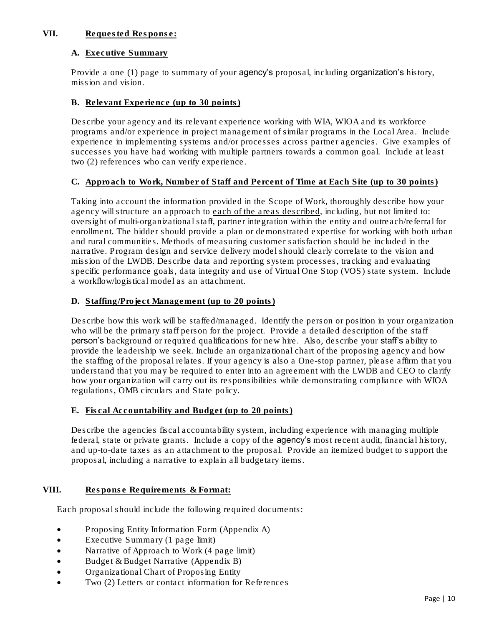# **VII.** Requested Response:

#### A. Executive Summary

Provide a one (1) page to summary of your agency's proposal, including organization's history, mission and vision.

#### B. Relevant Experience (up to 30 points)

Describe your agency and its relevant experience working with WIA, WIOA and its workforce programs and/or experience in project management of similar programs in the Local Area. Include experience in implementing systems and/or processes across partner agencies. Give examples of successes you have had working with multiple partners towards a common goal. Include at least two (2) references who can verify experience.

#### C. Approach to Work, Number of Staff and Percent of Time at Each Site (up to 30 points)

Taking into account the information provided in the Scope of Work, thoroughly describe how your agency will structure an approach to each of the areas described, including, but not limited to: oversight of multi-organizational staff, partner integration within the entity and outreach/referral for enrollment. The bidder should provide a plan or demonstrated expertise for working with both urban and rural communities. Methods of measuring customer satisfaction should be included in the narrative. Program design and service delivery model should clearly correlate to the vision and mission of the LWDB. Describe data and reporting system processes, tracking and evaluating specific performance goals, data integrity and use of Virtual One Stop (VOS) state system. Include a workflow/logistical model as an attachment.

#### D. Staffing/Project Management (up to 20 points)

Describe how this work will be staffed/managed. Identify the person or position in your organization who will be the primary staff person for the project. Provide a detailed description of the staff person's background or required qualifications for new hire. Also, describe your staff's ability to provide the leadership we seek. Include an organizational chart of the proposing agency and how the staffing of the proposal relates. If your agency is also a One-stop partner, please affirm that you understand that you may be required to enter into an agreement with the LWDB and CEO to clarify how your organization will carry out its responsibilities while demonstrating compliance with WIOA regulations, OMB circulars and State policy.

#### E. Fiscal Accountability and Budget (up to 20 points)

Describe the agencies fiscal accountability system, including experience with managing multiple federal, state or private grants. Include a copy of the agency's most recent audit, financial history, and up-to-date taxes as an attachment to the proposal. Provide an itemized budget to support the proposal, including a narrative to explain all budgetary items.

#### VIII. Response Requirements & Format:

Each proposal should include the following required documents:

- Proposing Entity Information Form (Appendix A)
- Executive Summary (1 page limit)
- Narrative of Approach to Work (4 page limit)
- Budget & Budget Narrative (Appendix B)
- Organizational Chart of Proposing Entity
- Two (2) Letters or contact information for References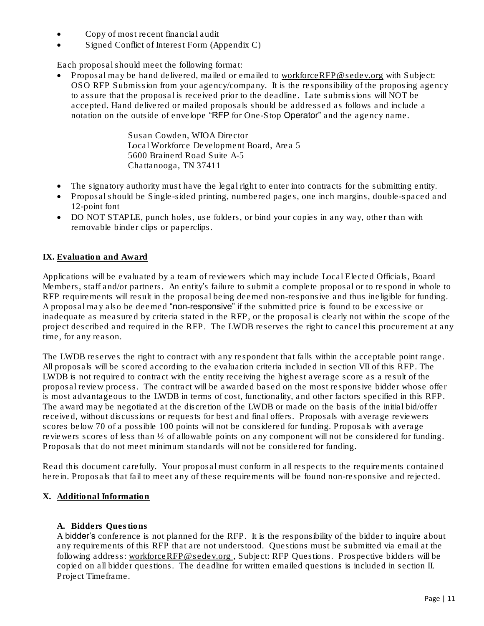- Copy of most recent financial audit
- Signed Conflict of Interest Form (Appendix C)

Each proposal should meet the following format:

Proposal may be hand delivered, mailed or emailed to [workforceRFP@sedev.org](mailto:scowden@sedev.org) with Subject: OSO RFP Submission from your agency/company. It is the responsibility of the proposing agency to assure that the proposal is received prior to the deadline. Late submissions will NOT be accepted. Hand delivered or mailed proposals should be addressed as follows and include a notation on the outside of envelope "RFP for One-Stop Operator" and the agency name.

> Susan Cowden, WIOA Director Local Workforce Development Board, Area 5 5600 Brainerd Road Suite A-5 Chattanooga, TN 37411

- The signatory authority must have the legal right to enter into contracts for the submitting entity.
- Proposal should be Single-sided printing, numbered pages, one inch margins, double-spaced and 12-point font
- DO NOT STAPLE, punch holes, use folders, or bind your copies in any way, other than with removable binder clips or paperclips.

# **IX.** Evaluation and Award

Applications will be evaluated by a team of reviewers which may include Local Elected Officials, Board Members, staff and/or partners. An entity's failure to submit a complete proposal or to respond in whole to RFP requirements will result in the proposal being deemed non-responsive and thus ineligible for funding. A proposal may also be deemed "non-responsive" if the submitted price is found to be excessive or inadequate as measured by criteria stated in the RFP, or the proposal is clearly not within the scope of the project described and required in the RFP. The LWDB reserves the right to cancel this procurement at any time, for any reason.

The LWDB reserves the right to contract with any respondent that falls within the acceptable point range. All proposals will be scored according to the evaluation criteria included in section VII of this RFP. The LWDB is not required to contract with the entity receiving the highest average score as a result of the proposal review process. The contract will be awarded based on the most responsive bidder whose offer is most advantageous to the LWDB in terms of cost, functionality, and other factors specified in this RFP. The award may be negotiated at the discretion of the LWDB or made on the basis of the initial bid/offer received, without discussions or requests for best and final offers. Proposals with average reviewers scores below 70 of a possible 100 points will not be considered for funding. Proposals with average reviewers scores of less than ½ of allowable points on any component will not be considered for funding. Proposals that do not meet minimum standards will not be considered for funding.

Read this document carefully. Your proposal must conform in all respects to the requirements contained herein. Proposals that fail to meet any of these requirements will be found non-responsive and rejected.

#### **X.** Additional Information

#### A. Bidders Questions

A bidder's conference is not planned for the RFP. It is the responsibility of the bidder to inquire about any requirements of this RFP that are not understood. Questions must be submitted via email at the following address: workforceRFP@sedev.org, Subject: RFP Questions. Prospective bidders will be copied on all bidder questions. The deadline for written emailed questions is included in section II. Project Timeframe.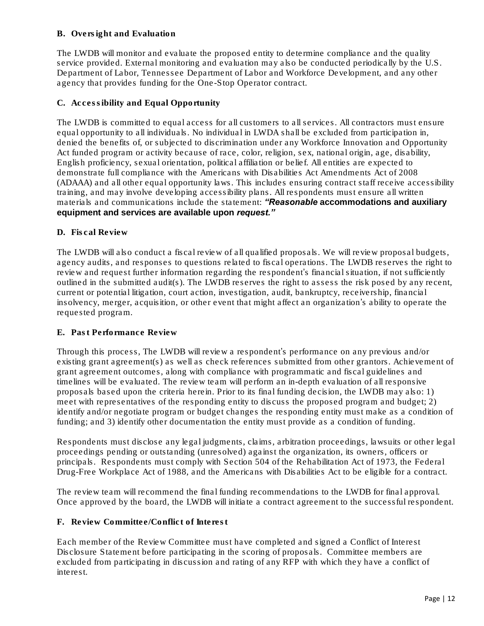# B. Oversight and Evaluation

The LWDB will monitor and evaluate the proposed entity to determine compliance and the quality service provided. External monitoring and evaluation may also be conducted periodically by the U.S. Department of Labor, Tennessee Department of Labor and Workforce Development, and any other agency that provides funding for the One-Stop Operator contract.

#### C. Accessibility and Equal Opportunity

The LWDB is committed to equal access for all customers to all services. All contractors must ensure equal opportunity to all individuals. No individual in LWDA shall be excluded from participation in, denied the benefits of, or subjected to discrimination under any Workforce Innovation and Opportunity Act funded program or activity because of race, color, religion, sex, national origin, age, disability, English proficiency, sexual orientation, political affiliation or belief. All entities are expected to demonstrate full compliance with the Americans with Disabilities Act Amendments Act of 2008 (ADAAA) and all other equal opportunity laws. This includes ensuring contract staff receive accessibility training, and may involve developing accessibility plans. All respondents must ensure all written materials and communications include the statement: *"Reasonable accommodations and auxiliary equipment and services are available upon request."*

#### D. Fiscal Review

The LWDB will also conduct a fiscal review of all qualified proposals. We will review proposal budgets, agency audits, and responses to questions related to fiscal operations. The LWDB reserves the right to review and request further information regarding the respondent's financial situation, if not sufficiently outlined in the submitted audit(s). The LWDB reserves the right to assess the risk posed by any recent, current or potential litigation, court action, investigation, audit, bankruptcy, receivership, financial insolvency, merger, acquisition, or other event that might affect an organization's ability to operate the requested program.

#### E. Past Performance Review

Through this process, The LWDB will review a respondent's performance on any previous and/or existing grant agreement(s) as well as check references submitted from other grantors. Achievement of grant agreement outcomes, along with compliance with programmatic and fiscal guidelines and timelines will be evaluated. The review team will perform an in-depth evaluation of all responsive proposals based upon the criteria herein. Prior to its final funding decision, the LWDB may also: 1) meet with representatives of the responding entity to discuss the proposed program and budget; 2) identify and/or negotiate program or budget changes the responding entity must make as a condition of funding; and 3) identify other documentation the entity must provide as a condition of funding.

Respondents must disclose any legal judgments, claims, arbitration proceedings, lawsuits or other legal proceedings pending or outstanding (unresolved) against the organization, its owners, officers or principals. Respondents must comply with Section 504 of the Rehabilitation Act of 1973, the Federal Drug-Free Workplace Act of 1988, and the Americans with Disabilities Act to be eligible for a contract.

The review team will recommend the final funding recommendations to the LWDB for final approval. Once approved by the board, the LWDB will initiate a contract agreement to the successful respondent.

#### F. Review Committee/Conflict of Interest

Each member of the Review Committee must have completed and signed a Conflict of Interest Disclosure Statement before participating in the scoring of proposals. Committee members are excluded from participating in discussion and rating of any RFP with which they have a conflict of interest.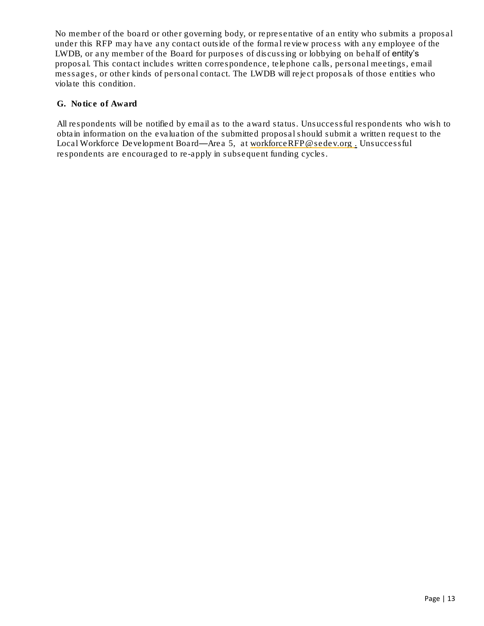No member of the board or other governing body, or representative of an entity who submits a proposal under this RFP may have any contact outside of the formal review process with any employee of the LWDB, or any member of the Board for purposes of discussing or lobbying on behalf of entity's proposal. This contact includes written correspondence, telephone calls, personal meetings, email messages, or other kinds of personal contact. The LWDB will reject proposals of those entities who violate this condition.

#### G. Notice of Award

All respondents will be notified by email as to the award status. Unsuccessful respondents who wish to obtain information on the evaluation of the submitted proposal should submit a written request to the Local Workforce Development Board—Area 5, at [workforceRFP@sedev.org](mailto:scowden@sedev.org). Unsuccessful respondents are encouraged to re-apply in subsequent funding cycles.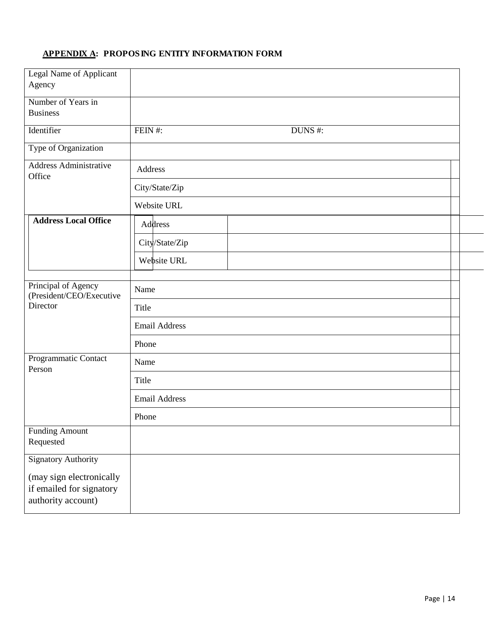# APPENDIX A: PROPOSING ENTITY INFORMATION FORM

| Legal Name of Applicant<br>Agency                                          |                      |  |
|----------------------------------------------------------------------------|----------------------|--|
| Number of Years in<br><b>Business</b>                                      |                      |  |
| Identifier                                                                 | FEIN#:<br>DUNS #:    |  |
| Type of Organization                                                       |                      |  |
| <b>Address Administrative</b><br>Office                                    | Address              |  |
|                                                                            | City/State/Zip       |  |
|                                                                            | Website URL          |  |
| <b>Address Local Office</b>                                                | Address              |  |
|                                                                            | City/State/Zip       |  |
|                                                                            | Website URL          |  |
| Principal of Agency                                                        | Name                 |  |
| (President/CEO/Executive<br>Director                                       | Title                |  |
|                                                                            | <b>Email Address</b> |  |
|                                                                            | Phone                |  |
| Programmatic Contact<br>Person                                             | Name                 |  |
|                                                                            | Title                |  |
|                                                                            | <b>Email Address</b> |  |
|                                                                            | Phone                |  |
| <b>Funding Amount</b><br>Requested                                         |                      |  |
| <b>Signatory Authority</b>                                                 |                      |  |
| (may sign electronically<br>if emailed for signatory<br>authority account) |                      |  |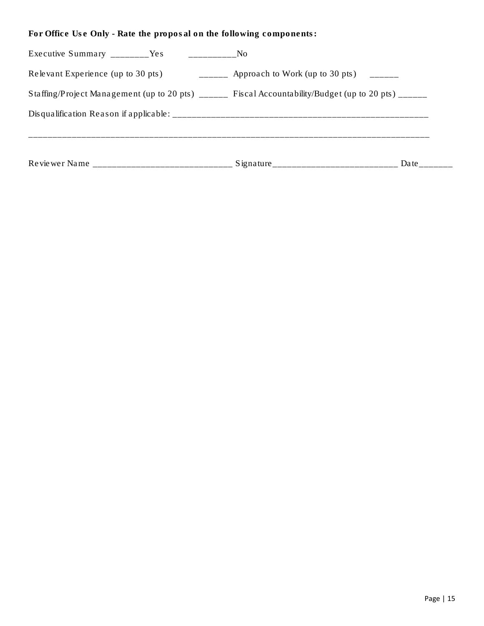For Office Use Only - Rate the proposal on the following components:

|                                                                                                                                                                                                                                                                                                                                  |                                                             | Date |
|----------------------------------------------------------------------------------------------------------------------------------------------------------------------------------------------------------------------------------------------------------------------------------------------------------------------------------|-------------------------------------------------------------|------|
|                                                                                                                                                                                                                                                                                                                                  |                                                             |      |
| Staffing/Project Management (up to 20 pts) $\overline{\ }$ Fiscal Accountability/Budget (up to 20 pts) $\overline{\ }$                                                                                                                                                                                                           |                                                             |      |
| Relevant Experience (up to 30 pts)                                                                                                                                                                                                                                                                                               | $\frac{1}{1}$ Approach to Work (up to 30 pts) $\frac{1}{1}$ |      |
| Executive Summary $\frac{1}{2}$ $\frac{1}{2}$ $\frac{1}{2}$ $\frac{1}{2}$ $\frac{1}{2}$ $\frac{1}{2}$ $\frac{1}{2}$ $\frac{1}{2}$ $\frac{1}{2}$ $\frac{1}{2}$ $\frac{1}{2}$ $\frac{1}{2}$ $\frac{1}{2}$ $\frac{1}{2}$ $\frac{1}{2}$ $\frac{1}{2}$ $\frac{1}{2}$ $\frac{1}{2}$ $\frac{1}{2}$ $\frac{1}{2}$ $\frac$<br>—————————No |                                                             |      |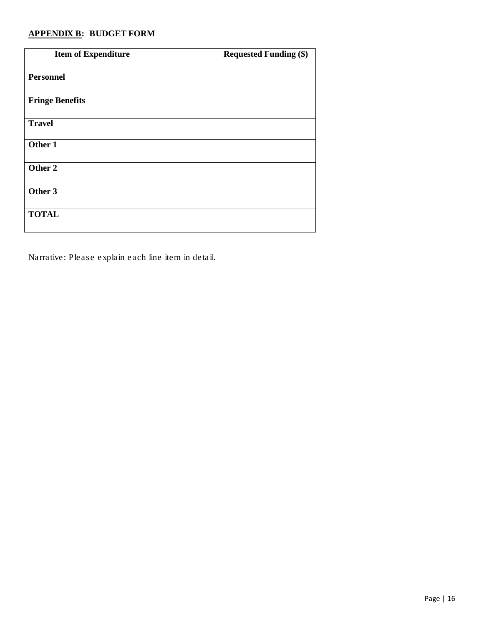# APPENDIX B: BUDGET FORM

| <b>Item of Expenditure</b> | <b>Requested Funding (\$)</b> |
|----------------------------|-------------------------------|
| <b>Personnel</b>           |                               |
| <b>Fringe Benefits</b>     |                               |
| <b>Travel</b>              |                               |
| Other 1                    |                               |
| Other 2                    |                               |
| Other 3                    |                               |
| <b>TOTAL</b>               |                               |

Narrative: Please explain each line item in detail.